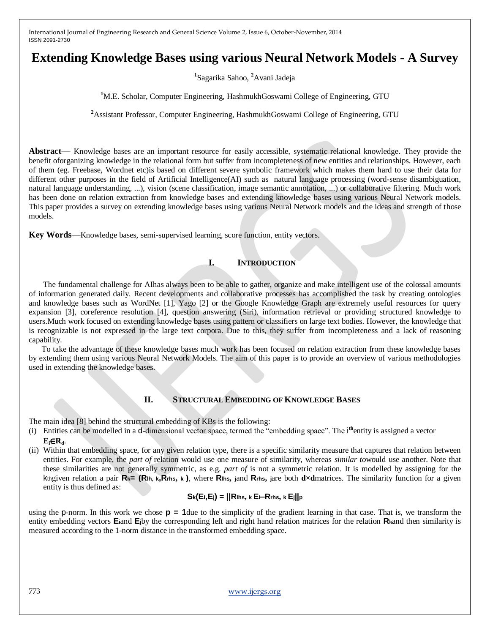# **Extending Knowledge Bases using various Neural Network Models - A Survey**

**1** Sagarika Sahoo, **<sup>2</sup>**Avani Jadeja

<sup>1</sup>M.E. Scholar, Computer Engineering, HashmukhGoswami College of Engineering, GTU

**<sup>2</sup>**Assistant Professor, Computer Engineering, HashmukhGoswami College of Engineering, GTU

**Abstract**— Knowledge bases are an important resource for easily accessible, systematic relational knowledge. They provide the benefit oforganizing knowledge in the relational form but suffer from incompleteness of new entities and relationships. However, each of them (eg. Freebase, Wordnet etc)is based on different severe symbolic framework which makes them hard to use their data for different other purposes in the field of Artificial Intelligence(AI) such as natural language processing (word-sense disambiguation, natural language understanding, ...), vision (scene classification, image semantic annotation, ...) or collaborative filtering. Much work has been done on relation extraction from knowledge bases and extending knowledge bases using various Neural Network models. This paper provides a survey on extending knowledge bases using various Neural Network models and the ideas and strength of those models.

**Key Words**—Knowledge bases, semi-supervised learning, score function, entity vectors.

# **I. INTRODUCTION**

The fundamental challenge for AIhas always been to be able to gather, organize and make intelligent use of the colossal amounts of information generated daily. Recent developments and collaborative processes has accomplished the task by creating ontologies and knowledge bases such as WordNet [1], Yago [2] or the Google Knowledge Graph are extremely useful resources for query expansion [3], coreference resolution [4], question answering (Siri), information retrieval or providing structured knowledge to users.Much work focused on extending knowledge bases using pattern or classifiers on large text bodies. However, the knowledge that is recognizable is not expressed in the large text corpora. Due to this, they suffer from incompleteness and a lack of reasoning capability.

To take the advantage of these knowledge bases much work has been focused on relation extraction from these knowledge bases by extending them using various Neural Network Models. The aim of this paper is to provide an overview of various methodologies used in extending the knowledge bases.

## **II. STRUCTURAL EMBEDDING OF KNOWLEDGE BASES**

The main idea [8] behind the structural embedding of KBs is the following:

- (i) Entities can be modelled in a d-dimensional vector space, termed the "embedding space". The i<sup>th</sup>entity is assigned a vector  $E_i \in R_d$ .
- (ii) Within that embedding space, for any given relation type, there is a specific similarity measure that captures that relation between entities. For example, the *part of* relation would use one measure of similarity, whereas *similar to*would use another. Note that these similarities are not generally symmetric, as e.g. *part of* is not a symmetric relation. It is modelled by assigning for the kth given relation a pair  $R_{k} = (R_{th, k}, R_{ths, k})$ , where  $R_{ths,$  jand  $R_{ths,}$  jare both dxdmatrices. The similarity function for a given entity is thus defined as:

# **Sk(Ei,Ej) = ||Rlhs, k Ei–Rrhs, k Ej||<sup>p</sup>**

using the p-norm. In this work we chose **p = 1**due to the simplicity of the gradient learning in that case. That is, we transform the entity embedding vectors **Ei**and **Ej**by the corresponding left and right hand relation matrices for the relation **Rk**and then similarity is measured according to the 1-norm distance in the transformed embedding space.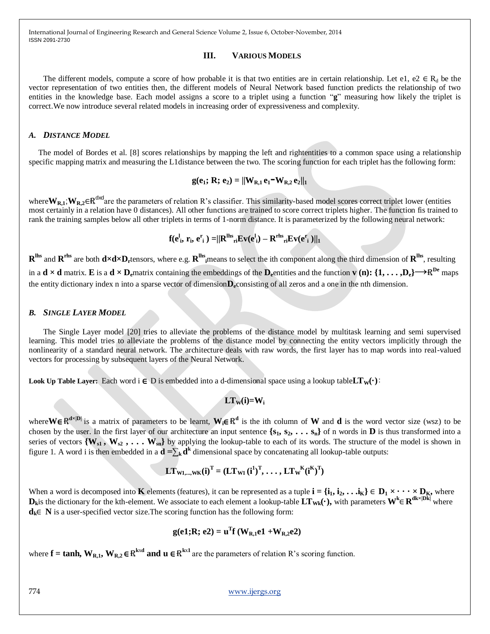International Journal of Engineering Research and General Science Volume 2, Issue 6, October-November, 2014 ISSN 2091-2730

#### **III. VARIOUS MODELS**

The different models, compute a score of how probable it is that two entities are in certain relationship. Let e1, e2  $\in$  R<sub>d</sub> be the vector representation of two entities then, the different models of Neural Network based function predicts the relationship of two entities in the knowledge base. Each model assigns a score to a triplet using a function "g" measuring how likely the triplet is correct.We now introduce several related models in increasing order of expressiveness and complexity.

#### *A. DISTANCE MODEL*

The model of Bordes et al. [8] scores relationships by mapping the left and rightentities to a common space using a relationship specific mapping matrix and measuring the L1distance between the two. The scoring function for each triplet has the following form:

$$
g(e_1; R; e_2) = ||W_{R,1} e_1 - W_{R,2} e_2||_1
$$

where $W_{R,1}$ ;  $W_{R,2}$ ∈R<sup>dxd</sup>are the parameters of relation R's classifier. This similarity-based model scores correct triplet lower (entities most certainly in a relation have 0 distances). All other functions are trained to score correct triplets higher. The function fis trained to rank the training samples below all other triplets in terms of 1-norm distance. It is parameterized by the following neural network:

$$
f(eli, ri, eri) = ||RlhsriEv(eli) - RrhsriEv(eri)||1
$$

 $R^{hfs}$  and  $R^{rhs}$  are both  $d \times d \times D_r$ tensors, where e.g.  $R^{hfs}$  means to select the ith component along the third dimension of  $R^{hfs}$ , resulting in a  $\mathbf{d} \times \mathbf{d}$  matrix. **E** is a  $\mathbf{d} \times \mathbf{D}_{e}$  matrix containing the embeddings of the  $\mathbf{D}_{e}$  entities and the function **v** (**n**):  $\{1, \ldots, D_{e}\} \rightarrow \mathbb{R}^{\mathbf{D}_{e}}$  maps the entity dictionary index n into a sparse vector of dimension**De**consisting of all zeros and a one in the nth dimension.

#### *B. SINGLE LAYER MODEL*

The Single Layer model [20] tries to alleviate the problems of the distance model by multitask learning and semi supervised learning. This model tries to alleviate the problems of the distance model by connecting the entity vectors implicitly through the nonlinearity of a standard neural network. The architecture deals with raw words, the first layer has to map words into real-valued vectors for processing by subsequent layers of the Neural Network.

**Look Up Table Layer:** Each word  $i \in D$  is embedded into a d-dimensional space using a lookup table  $LT_w(·)$ :

$$
LT_W(i) \mathbf{=} W_i
$$

where W∈R<sup>d×|D|</sup> is a matrix of parameters to be learnt,  $W_i \in R^d$  is the ith column of W and d is the word vector size (wsz) to be chosen by the user. In the first layer of our architecture an input sentence  $\{s_1, s_2, \ldots, s_n\}$  of n words in **D** is thus transformed into a series of vectors  ${W_{s1}, W_{s2}, \ldots W_{sn}}$  by applying the lookup-table to each of its words. The structure of the model is shown in figure 1. A word i is then embedded in a  $d = \sum_{k} d^{k}$  dimensional space by concatenating all lookup-table outputs:

$$
\mathbf{LT}_{\mathbf{W1},\dots,\mathbf{WK}}(\mathbf{i})^{\mathrm{T}} = (\mathbf{LT}_{\mathbf{W1}}(\mathbf{i}^1)^{\mathrm{T}},\dots,\mathbf{LT}_{\mathbf{W}}^{\mathbf{K}}(\mathbf{i}^{\mathbf{K}})^{\mathrm{T}})
$$

When a word is decomposed into **K** elements (features), it can be represented as a tuple  $\mathbf{i} = {\mathbf{i}_1, \mathbf{i}_2, \dots, \mathbf{i}_K} \in \mathbf{D}_1 \times \cdots \times \mathbf{D}_K$ , where  $D_k$  is the dictionary for the kth-element. We associate to each element a lookup-table  $LT_{wk}(\cdot)$ , with parameters  $W^k \in R^{dk \times |Dk|}$  where **dk**∈ **N** is a user-specified vector size.The scoring function has the following form:

$$
g(e1;R; e2) = uTf (WR,1e1 + WR,2e2)
$$

where  $f = \tanh$ ,  $W_{R,1}$ ,  $W_{R,2} \in \mathbb{R}^{k \times d}$  and  $u \in \mathbb{R}^{k \times 1}$  are the parameters of relation R's scoring function.

774 www.ijergs.org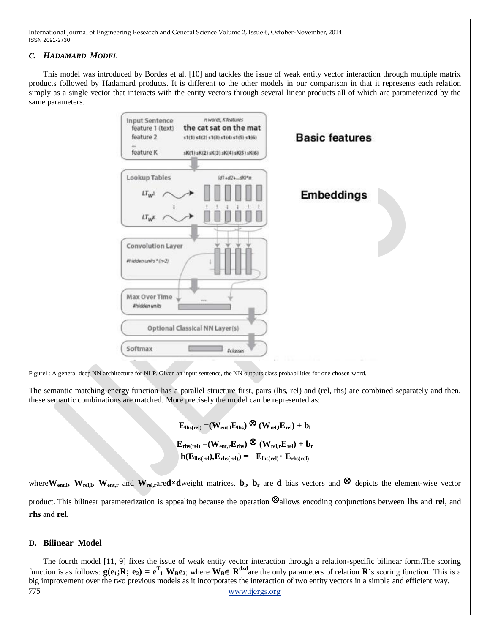International Journal of Engineering Research and General Science Volume 2, Issue 6, October-November, 2014 ISSN 2091-2730

## *C. HADAMARD MODEL*

This model was introduced by Bordes et al. [10] and tackles the issue of weak entity vector interaction through multiple matrix products followed by Hadamard products. It is different to the other models in our comparison in that it represents each relation simply as a single vector that interacts with the entity vectors through several linear products all of which are parameterized by the same parameters.



Figure1: A general deep NN architecture for NLP. Given an input sentence, the NN outputs class probabilities for one chosen word.

The semantic matching energy function has a parallel structure first, pairs (lhs, rel) and (rel, rhs) are combined separately and then, these semantic combinations are matched. More precisely the model can be represented as:

> $\mathbf{E}_{\text{ths(rel)}} = (\mathbf{W}_{\text{ent,l}} \mathbf{E}_{\text{ths}}) \otimes (\mathbf{W}_{\text{rel,l}} \mathbf{E}_{\text{rel}}) + \mathbf{b}_{\text{l}}$  $\mathbf{E}_{\text{rhs}(\text{rel})} = (\mathbf{W}_{\text{ent},\text{r}} \mathbf{E}_{\text{rhs}}) \otimes (\mathbf{W}_{\text{rel},\text{r}} \mathbf{E}_{\text{rel}}) + \mathbf{b}_{\text{r}}$  $h(E_{\text{llb}(\text{rel})},E_{\text{rhs}(\text{rel})}) = -E_{\text{llb}(\text{rel})} \cdot E_{\text{rhs}(\text{rel})}$

where  $W_{\text{ent,l}}$ ,  $W_{\text{rel,l}}$ ,  $W_{\text{ent,r}}$  and  $W_{\text{rel,r}}$ ared×dweight matrices,  $b_l$ ,  $b_r$  are d bias vectors and ⊗ depicts the element-wise vector product.This bilinear parameterization is appealing because the operation ⊗allows encoding conjunctions between **lhs** and **rel**, and **rhs** and **rel**.

## **D. Bilinear Model**

775 www.ijergs.org The fourth model [11, 9] fixes the issue of weak entity vector interaction through a relation-specific bilinear form.The scoring function is as follows:  $g(e_1; R; e_2) = e^T$  **W**<sub>R</sub>e<sub>2</sub>; where  $W_R \in R^{dxd}$  are the only parameters of relation  $R$ 's scoring function. This is a big improvement over the two previous models as it incorporates the interaction of two entity vectors in a simple and efficient way.